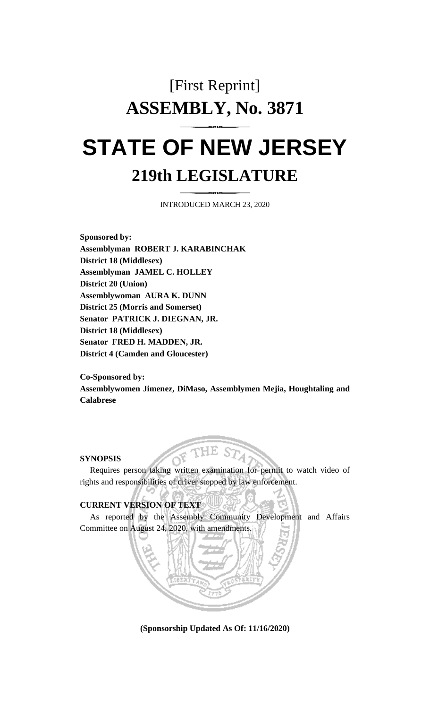# [First Reprint] **ASSEMBLY, No. 3871 STATE OF NEW JERSEY**

# **219th LEGISLATURE**

INTRODUCED MARCH 23, 2020

**Sponsored by: Assemblyman ROBERT J. KARABINCHAK District 18 (Middlesex) Assemblyman JAMEL C. HOLLEY District 20 (Union) Assemblywoman AURA K. DUNN District 25 (Morris and Somerset) Senator PATRICK J. DIEGNAN, JR. District 18 (Middlesex) Senator FRED H. MADDEN, JR. District 4 (Camden and Gloucester)**

**Co-Sponsored by: Assemblywomen Jimenez, DiMaso, Assemblymen Mejia, Houghtaling and Calabrese**

#### **SYNOPSIS**

Requires person taking written examination for permit to watch video of rights and responsibilities of driver stopped by law enforcement.

# **CURRENT VERSION OF TEXT**

As reported by the Assembly Community Development and Affairs Committee on August 24, 2020, with amendments.



**(Sponsorship Updated As Of: 11/16/2020)**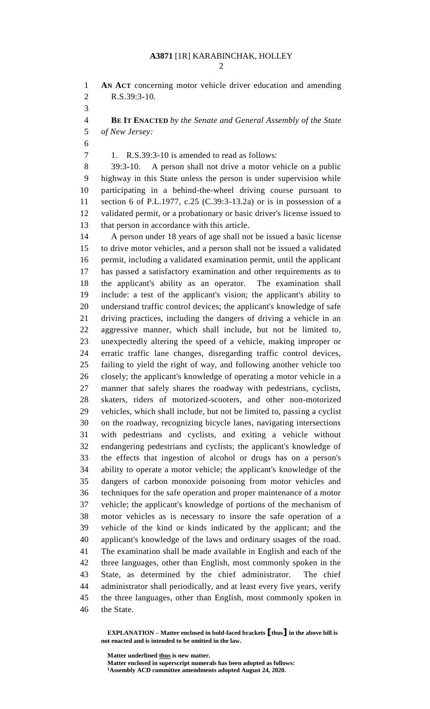**AN ACT** concerning motor vehicle driver education and amending R.S.39:3-10.

 **BE IT ENACTED** *by the Senate and General Assembly of the State of New Jersey:*

1. R.S.39:3-10 is amended to read as follows:

 39:3-10. A person shall not drive a motor vehicle on a public highway in this State unless the person is under supervision while participating in a behind-the-wheel driving course pursuant to section 6 of P.L.1977, c.25 (C.39:3-13.2a) or is in possession of a validated permit, or a probationary or basic driver's license issued to that person in accordance with this article.

 A person under 18 years of age shall not be issued a basic license to drive motor vehicles, and a person shall not be issued a validated permit, including a validated examination permit, until the applicant has passed a satisfactory examination and other requirements as to the applicant's ability as an operator. The examination shall include: a test of the applicant's vision; the applicant's ability to understand traffic control devices; the applicant's knowledge of safe driving practices, including the dangers of driving a vehicle in an aggressive manner, which shall include, but not be limited to, unexpectedly altering the speed of a vehicle, making improper or erratic traffic lane changes, disregarding traffic control devices, failing to yield the right of way, and following another vehicle too closely; the applicant's knowledge of operating a motor vehicle in a manner that safely shares the roadway with pedestrians, cyclists, skaters, riders of motorized-scooters, and other non-motorized vehicles, which shall include, but not be limited to, passing a cyclist on the roadway, recognizing bicycle lanes, navigating intersections with pedestrians and cyclists, and exiting a vehicle without endangering pedestrians and cyclists; the applicant's knowledge of the effects that ingestion of alcohol or drugs has on a person's ability to operate a motor vehicle; the applicant's knowledge of the dangers of carbon monoxide poisoning from motor vehicles and techniques for the safe operation and proper maintenance of a motor vehicle; the applicant's knowledge of portions of the mechanism of motor vehicles as is necessary to insure the safe operation of a vehicle of the kind or kinds indicated by the applicant; and the applicant's knowledge of the laws and ordinary usages of the road. The examination shall be made available in English and each of the three languages, other than English, most commonly spoken in the State, as determined by the chief administrator. The chief administrator shall periodically, and at least every five years, verify the three languages, other than English, most commonly spoken in the State.

**EXPLANATION – Matter enclosed in bold-faced brackets [thus] in the above bill is not enacted and is intended to be omitted in the law.**

**Matter underlined thus is new matter.**

**Matter enclosed in superscript numerals has been adopted as follows: Assembly ACD committee amendments adopted August 24, 2020.**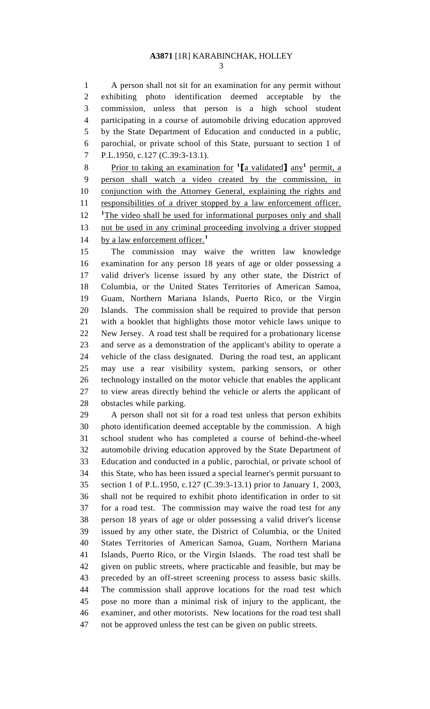A person shall not sit for an examination for any permit without exhibiting photo identification deemed acceptable by the commission, unless that person is a high school student participating in a course of automobile driving education approved by the State Department of Education and conducted in a public, parochial, or private school of this State, pursuant to section 1 of P.L.1950, c.127 (C.39:3-13.1).

8 Prior to taking an examination for <sup>1</sup>[a validated] any<sup>1</sup> permit, a person shall watch a video created by the commission, in conjunction with the Attorney General, explaining the rights and 11 responsibilities of a driver stopped by a law enforcement officer. 12 <sup>1</sup>The video shall be used for informational purposes only and shall 13 not be used in any criminal proceeding involving a driver stopped by a law enforcement officer.**<sup>1</sup>** 

 The commission may waive the written law knowledge examination for any person 18 years of age or older possessing a valid driver's license issued by any other state, the District of Columbia, or the United States Territories of American Samoa, Guam, Northern Mariana Islands, Puerto Rico, or the Virgin Islands. The commission shall be required to provide that person with a booklet that highlights those motor vehicle laws unique to New Jersey. A road test shall be required for a probationary license and serve as a demonstration of the applicant's ability to operate a vehicle of the class designated. During the road test, an applicant may use a rear visibility system, parking sensors, or other technology installed on the motor vehicle that enables the applicant to view areas directly behind the vehicle or alerts the applicant of obstacles while parking.

 A person shall not sit for a road test unless that person exhibits photo identification deemed acceptable by the commission. A high school student who has completed a course of behind-the-wheel automobile driving education approved by the State Department of Education and conducted in a public, parochial, or private school of this State, who has been issued a special learner's permit pursuant to section 1 of P.L.1950, c.127 (C.39:3-13.1) prior to January 1, 2003, shall not be required to exhibit photo identification in order to sit for a road test. The commission may waive the road test for any person 18 years of age or older possessing a valid driver's license issued by any other state, the District of Columbia, or the United States Territories of American Samoa, Guam, Northern Mariana Islands, Puerto Rico, or the Virgin Islands. The road test shall be given on public streets, where practicable and feasible, but may be preceded by an off-street screening process to assess basic skills. The commission shall approve locations for the road test which pose no more than a minimal risk of injury to the applicant, the examiner, and other motorists. New locations for the road test shall not be approved unless the test can be given on public streets.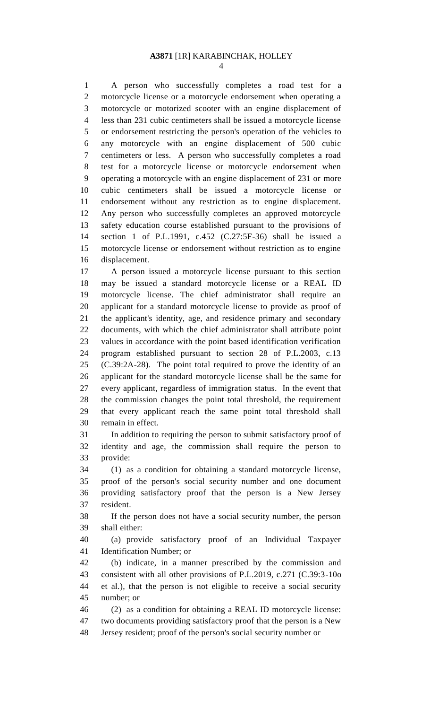A person who successfully completes a road test for a motorcycle license or a motorcycle endorsement when operating a motorcycle or motorized scooter with an engine displacement of less than 231 cubic centimeters shall be issued a motorcycle license or endorsement restricting the person's operation of the vehicles to any motorcycle with an engine displacement of 500 cubic centimeters or less. A person who successfully completes a road test for a motorcycle license or motorcycle endorsement when operating a motorcycle with an engine displacement of 231 or more cubic centimeters shall be issued a motorcycle license or endorsement without any restriction as to engine displacement. Any person who successfully completes an approved motorcycle safety education course established pursuant to the provisions of section 1 of P.L.1991, c.452 (C.27:5F-36) shall be issued a motorcycle license or endorsement without restriction as to engine displacement.

 A person issued a motorcycle license pursuant to this section may be issued a standard motorcycle license or a REAL ID motorcycle license. The chief administrator shall require an applicant for a standard motorcycle license to provide as proof of the applicant's identity, age, and residence primary and secondary documents, with which the chief administrator shall attribute point values in accordance with the point based identification verification program established pursuant to section 28 of P.L.2003, c.13 (C.39:2A-28). The point total required to prove the identity of an applicant for the standard motorcycle license shall be the same for every applicant, regardless of immigration status. In the event that the commission changes the point total threshold, the requirement that every applicant reach the same point total threshold shall remain in effect.

 In addition to requiring the person to submit satisfactory proof of identity and age, the commission shall require the person to provide:

 (1) as a condition for obtaining a standard motorcycle license, proof of the person's social security number and one document providing satisfactory proof that the person is a New Jersey resident.

 If the person does not have a social security number, the person shall either:

 (a) provide satisfactory proof of an Individual Taxpayer Identification Number; or

 (b) indicate, in a manner prescribed by the commission and consistent with all other provisions of P.L.2019, c.271 (C.39:3-10o et al.), that the person is not eligible to receive a social security number; or

 (2) as a condition for obtaining a REAL ID motorcycle license: two documents providing satisfactory proof that the person is a New Jersey resident; proof of the person's social security number or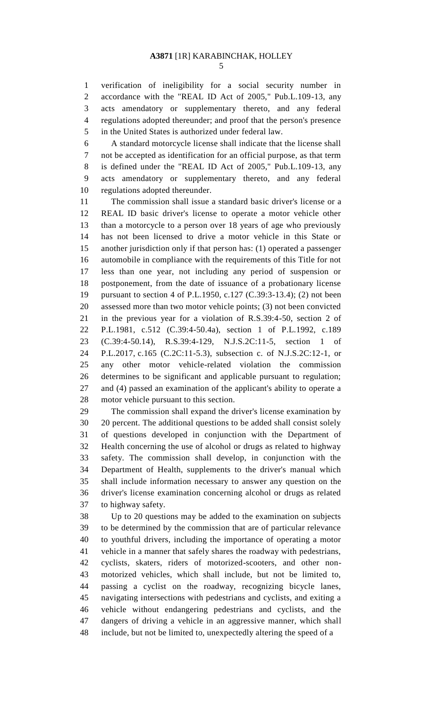verification of ineligibility for a social security number in accordance with the "REAL ID Act of 2005," Pub.L.109-13, any acts amendatory or supplementary thereto, and any federal regulations adopted thereunder; and proof that the person's presence in the United States is authorized under federal law.

 A standard motorcycle license shall indicate that the license shall not be accepted as identification for an official purpose, as that term is defined under the "REAL ID Act of 2005," Pub.L.109-13, any acts amendatory or supplementary thereto, and any federal regulations adopted thereunder.

 The commission shall issue a standard basic driver's license or a REAL ID basic driver's license to operate a motor vehicle other than a motorcycle to a person over 18 years of age who previously has not been licensed to drive a motor vehicle in this State or another jurisdiction only if that person has: (1) operated a passenger automobile in compliance with the requirements of this Title for not less than one year, not including any period of suspension or postponement, from the date of issuance of a probationary license pursuant to section 4 of P.L.1950, c.127 (C.39:3-13.4); (2) not been assessed more than two motor vehicle points; (3) not been convicted in the previous year for a violation of R.S.39:4-50, section 2 of P.L.1981, c.512 (C.39:4-50.4a), section 1 of P.L.1992, c.189 (C.39:4-50.14), R.S.39:4-129, N.J.S.2C:11-5, section 1 of P.L.2017, c.165 (C.2C:11-5.3), subsection c. of N.J.S.2C:12-1, or any other motor vehicle-related violation the commission determines to be significant and applicable pursuant to regulation; and (4) passed an examination of the applicant's ability to operate a motor vehicle pursuant to this section.

 The commission shall expand the driver's license examination by 20 percent. The additional questions to be added shall consist solely of questions developed in conjunction with the Department of Health concerning the use of alcohol or drugs as related to highway safety. The commission shall develop, in conjunction with the Department of Health, supplements to the driver's manual which shall include information necessary to answer any question on the driver's license examination concerning alcohol or drugs as related to highway safety.

 Up to 20 questions may be added to the examination on subjects to be determined by the commission that are of particular relevance to youthful drivers, including the importance of operating a motor vehicle in a manner that safely shares the roadway with pedestrians, cyclists, skaters, riders of motorized-scooters, and other non- motorized vehicles, which shall include, but not be limited to, passing a cyclist on the roadway, recognizing bicycle lanes, navigating intersections with pedestrians and cyclists, and exiting a vehicle without endangering pedestrians and cyclists, and the dangers of driving a vehicle in an aggressive manner, which shall include, but not be limited to, unexpectedly altering the speed of a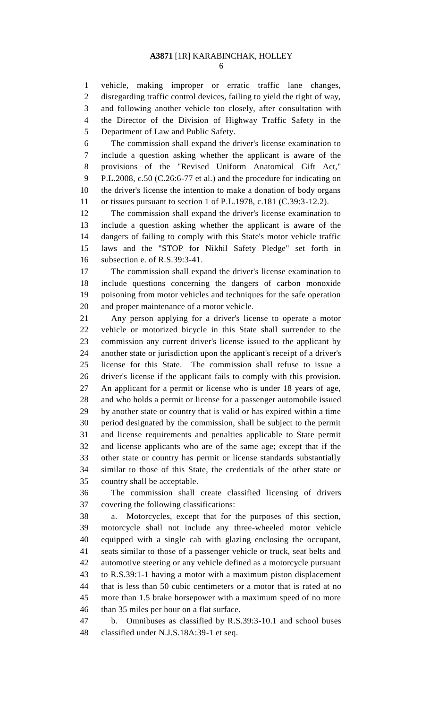vehicle, making improper or erratic traffic lane changes, disregarding traffic control devices, failing to yield the right of way, and following another vehicle too closely, after consultation with the Director of the Division of Highway Traffic Safety in the Department of Law and Public Safety.

 The commission shall expand the driver's license examination to include a question asking whether the applicant is aware of the provisions of the "Revised Uniform Anatomical Gift Act," P.L.2008, c.50 (C.26:6-77 et al.) and the procedure for indicating on the driver's license the intention to make a donation of body organs or tissues pursuant to section 1 of P.L.1978, c.181 (C.39:3-12.2).

 The commission shall expand the driver's license examination to include a question asking whether the applicant is aware of the dangers of failing to comply with this State's motor vehicle traffic laws and the "STOP for Nikhil Safety Pledge" set forth in subsection e. of R.S.39:3-41.

 The commission shall expand the driver's license examination to include questions concerning the dangers of carbon monoxide poisoning from motor vehicles and techniques for the safe operation and proper maintenance of a motor vehicle.

 Any person applying for a driver's license to operate a motor vehicle or motorized bicycle in this State shall surrender to the commission any current driver's license issued to the applicant by another state or jurisdiction upon the applicant's receipt of a driver's license for this State. The commission shall refuse to issue a driver's license if the applicant fails to comply with this provision. An applicant for a permit or license who is under 18 years of age, and who holds a permit or license for a passenger automobile issued by another state or country that is valid or has expired within a time period designated by the commission, shall be subject to the permit and license requirements and penalties applicable to State permit and license applicants who are of the same age; except that if the other state or country has permit or license standards substantially similar to those of this State, the credentials of the other state or country shall be acceptable.

 The commission shall create classified licensing of drivers covering the following classifications:

 a. Motorcycles, except that for the purposes of this section, motorcycle shall not include any three-wheeled motor vehicle equipped with a single cab with glazing enclosing the occupant, seats similar to those of a passenger vehicle or truck, seat belts and automotive steering or any vehicle defined as a motorcycle pursuant to R.S.39:1-1 having a motor with a maximum piston displacement that is less than 50 cubic centimeters or a motor that is rated at no more than 1.5 brake horsepower with a maximum speed of no more than 35 miles per hour on a flat surface.

 b. Omnibuses as classified by R.S.39:3-10.1 and school buses classified under N.J.S.18A:39-1 et seq.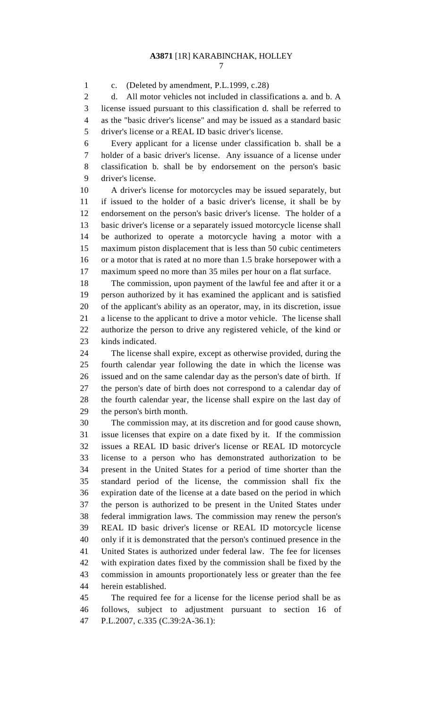c. (Deleted by amendment, P.L.1999, c.28)

 d. All motor vehicles not included in classifications a. and b. A license issued pursuant to this classification d. shall be referred to as the "basic driver's license" and may be issued as a standard basic driver's license or a REAL ID basic driver's license.

 Every applicant for a license under classification b. shall be a holder of a basic driver's license. Any issuance of a license under classification b. shall be by endorsement on the person's basic driver's license.

 A driver's license for motorcycles may be issued separately, but if issued to the holder of a basic driver's license, it shall be by endorsement on the person's basic driver's license. The holder of a basic driver's license or a separately issued motorcycle license shall be authorized to operate a motorcycle having a motor with a maximum piston displacement that is less than 50 cubic centimeters or a motor that is rated at no more than 1.5 brake horsepower with a maximum speed no more than 35 miles per hour on a flat surface.

 The commission, upon payment of the lawful fee and after it or a person authorized by it has examined the applicant and is satisfied of the applicant's ability as an operator, may, in its discretion, issue a license to the applicant to drive a motor vehicle. The license shall authorize the person to drive any registered vehicle, of the kind or kinds indicated.

 The license shall expire, except as otherwise provided, during the fourth calendar year following the date in which the license was issued and on the same calendar day as the person's date of birth. If the person's date of birth does not correspond to a calendar day of the fourth calendar year, the license shall expire on the last day of the person's birth month.

 The commission may, at its discretion and for good cause shown, issue licenses that expire on a date fixed by it. If the commission issues a REAL ID basic driver's license or REAL ID motorcycle license to a person who has demonstrated authorization to be present in the United States for a period of time shorter than the standard period of the license, the commission shall fix the expiration date of the license at a date based on the period in which the person is authorized to be present in the United States under federal immigration laws. The commission may renew the person's REAL ID basic driver's license or REAL ID motorcycle license only if it is demonstrated that the person's continued presence in the United States is authorized under federal law. The fee for licenses with expiration dates fixed by the commission shall be fixed by the commission in amounts proportionately less or greater than the fee herein established.

 The required fee for a license for the license period shall be as follows, subject to adjustment pursuant to section 16 of P.L.2007, c.335 (C.39:2A-36.1):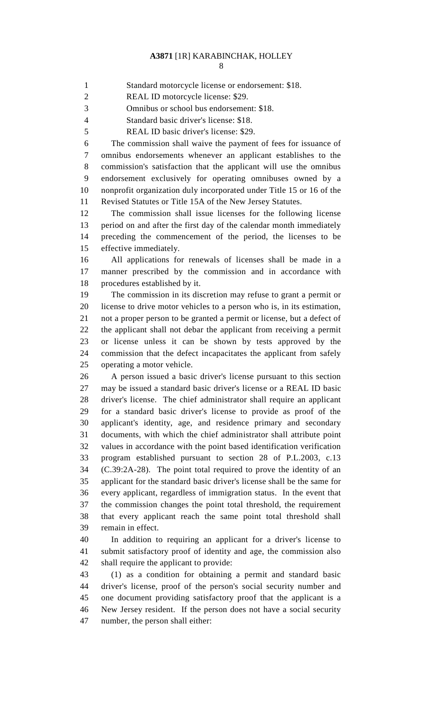Standard motorcycle license or endorsement: \$18.

REAL ID motorcycle license: \$29.

Omnibus or school bus endorsement: \$18.

Standard basic driver's license: \$18.

REAL ID basic driver's license: \$29.

 The commission shall waive the payment of fees for issuance of omnibus endorsements whenever an applicant establishes to the commission's satisfaction that the applicant will use the omnibus endorsement exclusively for operating omnibuses owned by a nonprofit organization duly incorporated under Title 15 or 16 of the Revised Statutes or Title 15A of the New Jersey Statutes.

 The commission shall issue licenses for the following license period on and after the first day of the calendar month immediately preceding the commencement of the period, the licenses to be effective immediately.

 All applications for renewals of licenses shall be made in a manner prescribed by the commission and in accordance with procedures established by it.

 The commission in its discretion may refuse to grant a permit or license to drive motor vehicles to a person who is, in its estimation, not a proper person to be granted a permit or license, but a defect of the applicant shall not debar the applicant from receiving a permit or license unless it can be shown by tests approved by the commission that the defect incapacitates the applicant from safely operating a motor vehicle.

 A person issued a basic driver's license pursuant to this section may be issued a standard basic driver's license or a REAL ID basic driver's license. The chief administrator shall require an applicant for a standard basic driver's license to provide as proof of the applicant's identity, age, and residence primary and secondary documents, with which the chief administrator shall attribute point values in accordance with the point based identification verification program established pursuant to section 28 of P.L.2003, c.13 (C.39:2A-28). The point total required to prove the identity of an applicant for the standard basic driver's license shall be the same for every applicant, regardless of immigration status. In the event that the commission changes the point total threshold, the requirement that every applicant reach the same point total threshold shall remain in effect.

 In addition to requiring an applicant for a driver's license to submit satisfactory proof of identity and age, the commission also shall require the applicant to provide:

 (1) as a condition for obtaining a permit and standard basic driver's license, proof of the person's social security number and one document providing satisfactory proof that the applicant is a New Jersey resident. If the person does not have a social security number, the person shall either: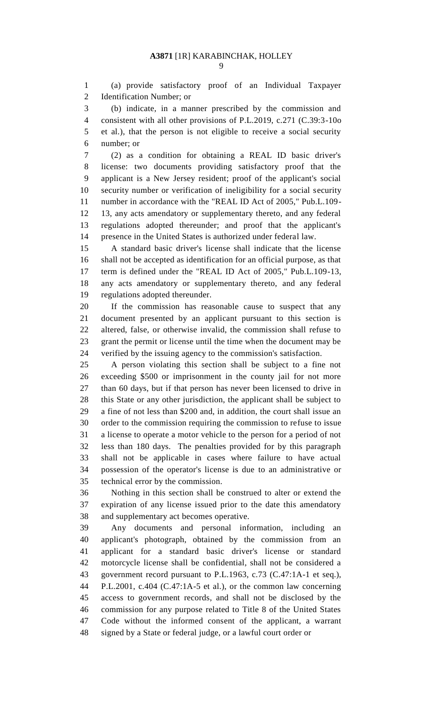(a) provide satisfactory proof of an Individual Taxpayer Identification Number; or

 (b) indicate, in a manner prescribed by the commission and consistent with all other provisions of P.L.2019, c.271 (C.39:3-10o et al.), that the person is not eligible to receive a social security number; or

 (2) as a condition for obtaining a REAL ID basic driver's license: two documents providing satisfactory proof that the applicant is a New Jersey resident; proof of the applicant's social security number or verification of ineligibility for a social security number in accordance with the "REAL ID Act of 2005," Pub.L.109- 13, any acts amendatory or supplementary thereto, and any federal regulations adopted thereunder; and proof that the applicant's presence in the United States is authorized under federal law.

 A standard basic driver's license shall indicate that the license shall not be accepted as identification for an official purpose, as that term is defined under the "REAL ID Act of 2005," Pub.L.109-13, any acts amendatory or supplementary thereto, and any federal regulations adopted thereunder.

 If the commission has reasonable cause to suspect that any document presented by an applicant pursuant to this section is altered, false, or otherwise invalid, the commission shall refuse to grant the permit or license until the time when the document may be verified by the issuing agency to the commission's satisfaction.

 A person violating this section shall be subject to a fine not exceeding \$500 or imprisonment in the county jail for not more than 60 days, but if that person has never been licensed to drive in this State or any other jurisdiction, the applicant shall be subject to a fine of not less than \$200 and, in addition, the court shall issue an order to the commission requiring the commission to refuse to issue a license to operate a motor vehicle to the person for a period of not less than 180 days. The penalties provided for by this paragraph shall not be applicable in cases where failure to have actual possession of the operator's license is due to an administrative or technical error by the commission.

 Nothing in this section shall be construed to alter or extend the expiration of any license issued prior to the date this amendatory and supplementary act becomes operative.

 Any documents and personal information, including an applicant's photograph, obtained by the commission from an applicant for a standard basic driver's license or standard motorcycle license shall be confidential, shall not be considered a government record pursuant to P.L.1963, c.73 (C.47:1A-1 et seq.), P.L.2001, c.404 (C.47:1A-5 et al.), or the common law concerning access to government records, and shall not be disclosed by the commission for any purpose related to Title 8 of the United States Code without the informed consent of the applicant, a warrant signed by a State or federal judge, or a lawful court order or